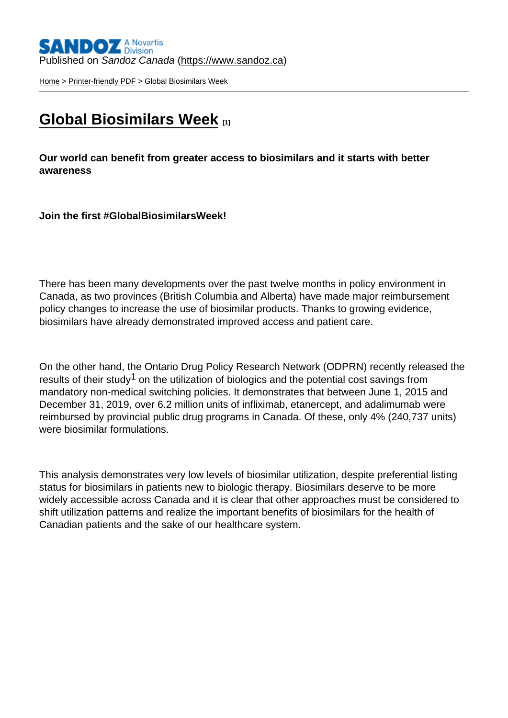## Published on Sandoz Canada [\(https://www.sandoz.ca](https://www.sandoz.ca))

[Home](https://www.sandoz.ca/en) > [Printer-friendly PDF](https://www.sandoz.ca/en/printpdf) > Global Biosimilars Week

## [Global Biosimilars Week](https://www.sandoz.ca/en/global-biosimilars-week) [1]

Our world can benefit from greater access to biosimilars and it starts with better awareness

Join the first #GlobalBiosimilarsWeek!

There has been many developments over the past twelve months in policy environment in Canada, as two provinces (British Columbia and Alberta) have made major reimbursement policy changes to increase the use of biosimilar products. Thanks to growing evidence, biosimilars have already demonstrated improved access and patient care.

On the other hand, the Ontario Drug Policy Research Network (ODPRN) recently released the results of their study<sup>1</sup> on the utilization of biologics and the potential cost savings from mandatory non-medical switching policies. It demonstrates that between June 1, 2015 and December 31, 2019, over 6.2 million units of infliximab, etanercept, and adalimumab were reimbursed by provincial public drug programs in Canada. Of these, only 4% (240,737 units) were biosimilar formulations.

This analysis demonstrates very low levels of biosimilar utilization, despite preferential listing status for biosimilars in patients new to biologic therapy. Biosimilars deserve to be more widely accessible across Canada and it is clear that other approaches must be considered to shift utilization patterns and realize the important benefits of biosimilars for the health of Canadian patients and the sake of our healthcare system.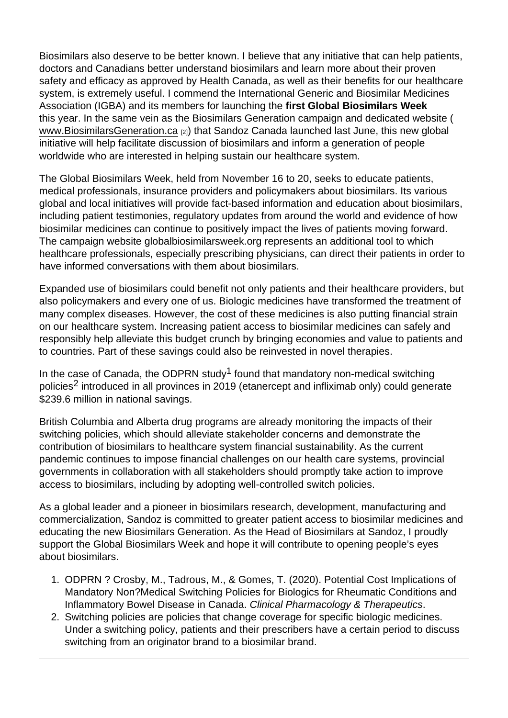Biosimilars also deserve to be better known. I believe that any initiative that can help patients, doctors and Canadians better understand biosimilars and learn more about their proven safety and efficacy as approved by Health Canada, as well as their benefits for our healthcare system, is extremely useful. I commend the International Generic and Biosimilar Medicines Association (IGBA) and its members for launching the first Global Biosimilars Week this year. In the same vein as the Biosimilars Generation campaign and dedicated website ( www.BiosimilarsGeneration.ca [2]) that Sandoz Canada launched last June, this new global initiative will help facilitate discussion of biosimilars and inform a generation of people worldwide who are interested in helping sustain our healthcare system.

The Global Biosimilars Week, held from November 16 to 20, seeks to educate patients, medical professionals, insurance providers and policymakers about biosimilars. Its various global and local initiatives will provide fact-based information and education about biosimilars, including patient testimonies, regulatory updates from around the world and evidence of how biosimilar medicines can continue to positively impact the lives of patients moving forward. The campaign website globalbiosimilarsweek.org represents an additional tool to which healthcare professionals, especially prescribing physicians, can direct their patients in order to have informed conversations with them about biosimilars.

Expanded use of biosimilars could benefit not only patients and their healthcare providers, but also policymakers and every one of us. Biologic medicines have transformed the treatment of many complex diseases. However, the cost of these medicines is also putting financial strain on our healthcare system. Increasing patient access to biosimilar medicines can safely and responsibly help alleviate this budget crunch by bringing economies and value to patients and to countries. Part of these savings could also be reinvested in novel therapies.

In the case of Canada, the ODPRN study<sup>1</sup> found that mandatory non-medical switching policies<sup>2</sup> introduced in all provinces in 2019 (etanercept and infliximab only) could generate \$239.6 million in national savings.

British Columbia and Alberta drug programs are already monitoring the impacts of their switching policies, which should alleviate stakeholder concerns and demonstrate the contribution of biosimilars to healthcare system financial sustainability. As the current pandemic continues to impose financial challenges on our health care systems, provincial governments in collaboration with all stakeholders should promptly take action to improve access to biosimilars, including by adopting well-controlled switch policies.

As a global leader and a pioneer in biosimilars research, development, manufacturing and commercialization, Sandoz is committed to greater patient access to biosimilar medicines and educating the new Biosimilars Generation. As the Head of Biosimilars at Sandoz, I proudly support the Global Biosimilars Week and hope it will contribute to opening people's eyes about biosimilars.

- 1. ODPRN ? Crosby, M., Tadrous, M., & Gomes, T. (2020). Potential Cost Implications of Mandatory Non?Medical Switching Policies for Biologics for Rheumatic Conditions and Inflammatory Bowel Disease in Canada. Clinical Pharmacology & Therapeutics.
- 2. Switching policies are policies that change coverage for specific biologic medicines. Under a switching policy, patients and their prescribers have a certain period to discuss switching from an originator brand to a biosimilar brand.